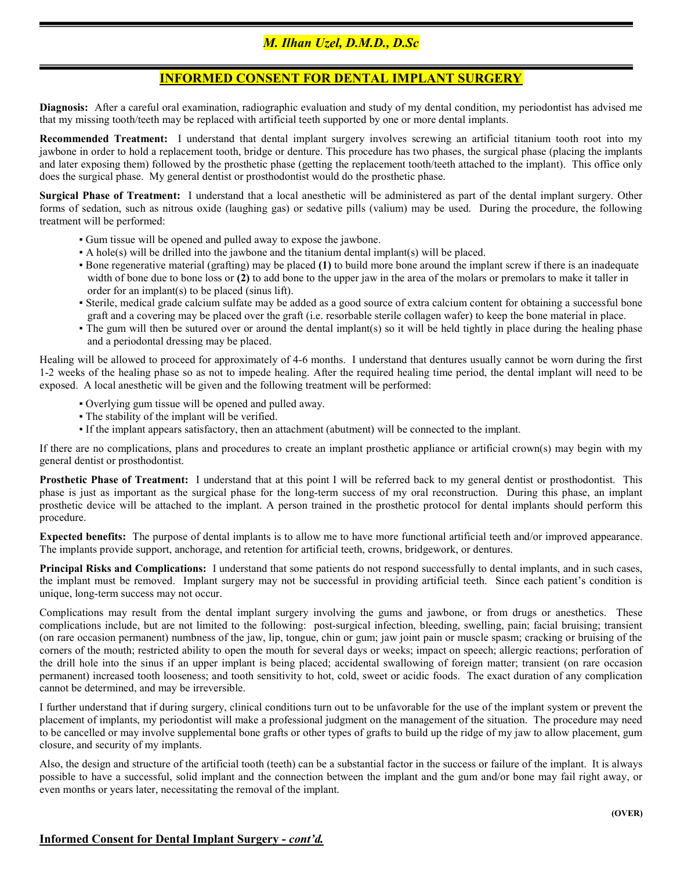## M. Ilhan Uzel, D.M.D., D.Sc

## INFORMED CONSENT FOR DENTAL IMPLANT SURGERY

Diagnosis: After a careful oral examination, radiographic evaluation and study of my dental condition, my periodontist has advised me that my missing tooth/teeth may be replaced with artificial teeth supported by one or more dental implants.

Recommended Treatment: I understand that dental implant surgery involves screwing an artificial titanium tooth root into my jawbone in order to hold a replacement tooth, bridge or denture. This procedure has two phases, the surgical phase (placing the implants and later exposing them) followed by the prosthetic phase (getting the replacement tooth/teeth attached to the implant). This office only does the surgical phase. My general dentist or prosthodontist would do the prosthetic phase.

Surgical Phase of Treatment: I understand that a local anesthetic will be administered as part of the dental implant surgery. Other forms of sedation, such as nitrous oxide (laughing gas) or sedative pills (valium) may be used. During the procedure, the following treatment will be performed:

- Gum tissue will be opened and pulled away to expose the jawbone.
- A hole(s) will be drilled into the jawbone and the titanium dental implant(s) will be placed.
- Bone regenerative material (grafting) may be placed (1) to build more bone around the implant screw if there is an inadequate width of bone due to bone loss or (2) to add bone to the upper jaw in the area of the molars or premolars to make it taller in order for an implant(s) to be placed (sinus lift).
- Sterile, medical grade calcium sulfate may be added as a good source of extra calcium content for obtaining a successful bone graft and a covering may be placed over the graft (i.e. resorbable sterile collagen wafer) to keep the bone material in place.
- The gum will then be sutured over or around the dental implant(s) so it will be held tightly in place during the healing phase and a periodontal dressing may be placed.

Healing will be allowed to proceed for approximately of 4-6 months. I understand that dentures usually cannot be worn during the first 1-2 weeks of the healing phase so as not to impede healing. After the required healing time period, the dental implant will need to be exposed. A local anesthetic will be given and the following treatment will be performed:

- Overlying gum tissue will be opened and pulled away.
- The stability of the implant will be verified.

 $\overline{\phantom{a}}$ 

▪ If the implant appears satisfactory, then an attachment (abutment) will be connected to the implant.

If there are no complications, plans and procedures to create an implant prosthetic appliance or artificial crown(s) may begin with my general dentist or prosthodontist.

Prosthetic Phase of Treatment: I understand that at this point I will be referred back to my general dentist or prosthodontist. This phase is just as important as the surgical phase for the long-term success of my oral reconstruction. During this phase, an implant prosthetic device will be attached to the implant. A person trained in the prosthetic protocol for dental implants should perform this procedure.

Expected benefits: The purpose of dental implants is to allow me to have more functional artificial teeth and/or improved appearance. The implants provide support, anchorage, and retention for artificial teeth, crowns, bridgework, or dentures.

Principal Risks and Complications: I understand that some patients do not respond successfully to dental implants, and in such cases, the implant must be removed. Implant surgery may not be successful in providing artificial teeth. Since each patient's condition is unique, long-term success may not occur.

Complications may result from the dental implant surgery involving the gums and jawbone, or from drugs or anesthetics. These complications include, but are not limited to the following: post-surgical infection, bleeding, swelling, pain; facial bruising; transient (on rare occasion permanent) numbness of the jaw, lip, tongue, chin or gum; jaw joint pain or muscle spasm; cracking or bruising of the corners of the mouth; restricted ability to open the mouth for several days or weeks; impact on speech; allergic reactions; perforation of the drill hole into the sinus if an upper implant is being placed; accidental swallowing of foreign matter; transient (on rare occasion permanent) increased tooth looseness; and tooth sensitivity to hot, cold, sweet or acidic foods. The exact duration of any complication cannot be determined, and may be irreversible.

I further understand that if during surgery, clinical conditions turn out to be unfavorable for the use of the implant system or prevent the placement of implants, my periodontist will make a professional judgment on the management of the situation. The procedure may need to be cancelled or may involve supplemental bone grafts or other types of grafts to build up the ridge of my jaw to allow placement, gum closure, and security of my implants.

Also, the design and structure of the artificial tooth (teeth) can be a substantial factor in the success or failure of the implant. It is always possible to have a successful, solid implant and the connection between the implant and the gum and/or bone may fail right away, or even months or years later, necessitating the removal of the implant.

## Informed Consent for Dental Implant Surgery - cont'd.